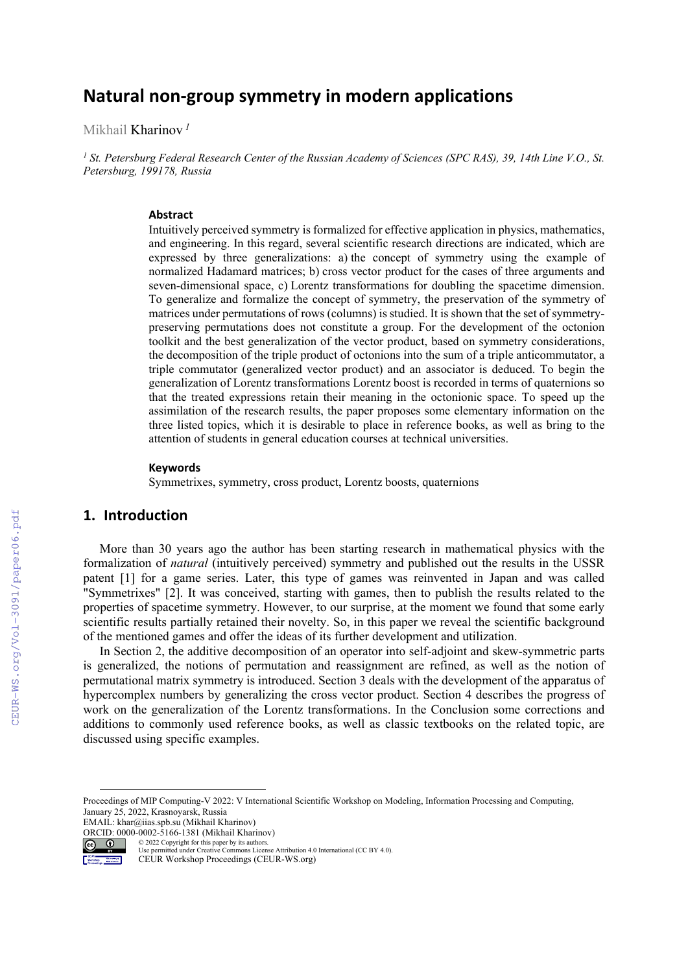# **Natural non‐group symmetry in modern applications**

Mikhail Kharinov *<sup>1</sup>*

<sup>1</sup> St. Petersburg Federal Research Center of the Russian Academy of Sciences (SPC RAS), 39, 14th Line V.O., St. *Petersburg, 199178, Russia* 

#### **Abstract**

Intuitively perceived symmetry is formalized for effective application in physics, mathematics, and engineering. In this regard, several scientific research directions are indicated, which are expressed by three generalizations: a) the concept of symmetry using the example of normalized Hadamard matrices; b) cross vector product for the cases of three arguments and seven-dimensional space, c) Lorentz transformations for doubling the spacetime dimension. To generalize and formalize the concept of symmetry, the preservation of the symmetry of matrices under permutations of rows (columns) is studied. It is shown that the set of symmetrypreserving permutations does not constitute a group. For the development of the octonion toolkit and the best generalization of the vector product, based on symmetry considerations, the decomposition of the triple product of octonions into the sum of a triple anticommutator, a triple commutator (generalized vector product) and an associator is deduced. To begin the generalization of Lorentz transformations Lorentz boost is recorded in terms of quaternions so that the treated expressions retain their meaning in the octonionic space. To speed up the assimilation of the research results, the paper proposes some elementary information on the three listed topics, which it is desirable to place in reference books, as well as bring to the attention of students in general education courses at technical universities.

#### **Keywords 1**

Symmetrixes, symmetry, cross product, Lorentz boosts, quaternions

## **1. Introduction**

More than 30 years ago the author has been starting research in mathematical physics with the formalization of *natural* (intuitively perceived) symmetry and published out the results in the USSR patent [1] for a game series. Later, this type of games was reinvented in Japan and was called "Symmetrixes" [2]. It was conceived, starting with games, then to publish the results related to the properties of spacetime symmetry. However, to our surprise, at the moment we found that some early scientific results partially retained their novelty. So, in this paper we reveal the scientific background of the mentioned games and offer the ideas of its further development and utilization.

In Section 2, the additive decomposition of an operator into self-adjoint and skew-symmetric parts is generalized, the notions of permutation and reassignment are refined, as well as the notion of permutational matrix symmetry is introduced. Section 3 deals with the development of the apparatus of hypercomplex numbers by generalizing the cross vector product. Section 4 describes the progress of work on the generalization of the Lorentz transformations. In the Conclusion some corrections and additions to commonly used reference books, as well as classic textbooks on the related topic, are discussed using specific examples.

© 2022 Copyright for this paper by its authors. Use permitted under Creative Commons License Attribution 4.0 International (CC BY 4.0).

CEUR Workshop Proceedings (CEUR-WS.org)

Proceedings of MIP Computing-V 2022: V International Scientific Workshop on Modeling, Information Processing and Computing, January 25, 2022, Krasnoyarsk, Russia

EMAIL: khar@iias.spb.su (Mikhail Kharinov)

ORCID: 0000-0002-5166-1381 (Mikhail Kharinov)<br>
© 2022 Copyright for this paper by its authors.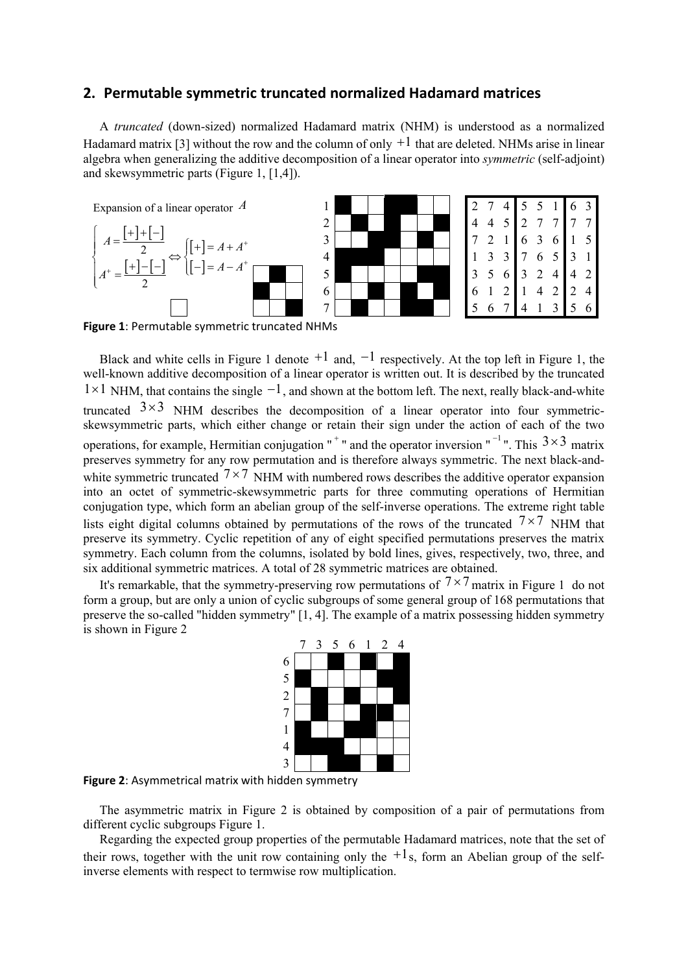## **2. Permutable symmetric truncated normalized Hadamard matrices**

A *truncated* (down-sized) normalized Hadamard matrix (NHM) is understood as a normalized Hadamard matrix [3] without the row and the column of only  $+1$  that are deleted. NHMs arise in linear algebra when generalizing the additive decomposition of a linear operator into *symmetric* (self-adjoint) and skewsymmetric parts (Figure 1, [1,4]).



**Figure 1**: Permutable symmetric truncated NHMs

Black and white cells in Figure 1 denote  $+1$  and,  $-1$  respectively. At the top left in Figure 1, the well-known additive decomposition of a linear operator is written out. It is described by the truncated  $1 \times 1$  NHM, that contains the single  $-1$ , and shown at the bottom left. The next, really black-and-white truncated  $3\times3$  NHM describes the decomposition of a linear operator into four symmetricskewsymmetric parts, which either change or retain their sign under the action of each of the two operations, for example, Hermitian conjugation "<sup>+</sup>" and the operator inversion "<sup>-1</sup>". This  $3 \times 3$  matrix preserves symmetry for any row permutation and is therefore always symmetric. The next black-andwhite symmetric truncated  $7 \times 7$  NHM with numbered rows describes the additive operator expansion into an octet of symmetric-skewsymmetric parts for three commuting operations of Hermitian conjugation type, which form an abelian group of the self-inverse operations. The extreme right table lists eight digital columns obtained by permutations of the rows of the truncated  $7\times7$  NHM that preserve its symmetry. Cyclic repetition of any of eight specified permutations preserves the matrix symmetry. Each column from the columns, isolated by bold lines, gives, respectively, two, three, and six additional symmetric matrices. A total of 28 symmetric matrices are obtained.

It's remarkable, that the symmetry-preserving row permutations of  $7 \times 7$  matrix in Figure 1 do not form a group, but are only a union of cyclic subgroups of some general group of 168 permutations that preserve the so-called "hidden symmetry" [1, 4]. The example of a matrix possessing hidden symmetry is shown in Figure 2



**Figure 2**: Asymmetrical matrix with hidden symmetry

The asymmetric matrix in Figure 2 is obtained by composition of a pair of permutations from different cyclic subgroups Figure 1.

Regarding the expected group properties of the permutable Hadamard matrices, note that the set of their rows, together with the unit row containing only the  $+1$ s, form an Abelian group of the selfinverse elements with respect to termwise row multiplication.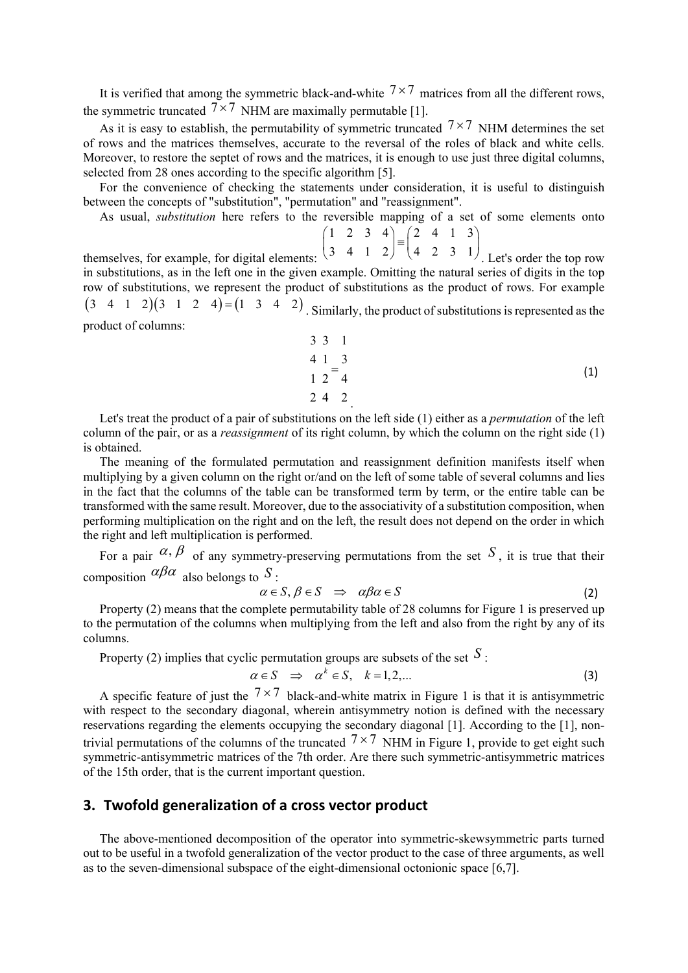It is verified that among the symmetric black-and-white  $7 \times 7$  matrices from all the different rows, the symmetric truncated  $7 \times 7$  NHM are maximally permutable [1].

As it is easy to establish, the permutability of symmetric truncated  $7 \times 7$  NHM determines the set of rows and the matrices themselves, accurate to the reversal of the roles of black and white cells. Moreover, to restore the septet of rows and the matrices, it is enough to use just three digital columns, selected from 28 ones according to the specific algorithm [5].

For the convenience of checking the statements under consideration, it is useful to distinguish between the concepts of "substitution", "permutation" and "reassignment".

As usual, *substitution* here refers to the reversible mapping of a set of some elements onto

 $1 \t2 \t3 \t4) (2 \t4 \t1 \t3$  $\begin{pmatrix} 1 & 2 & 3 & 4 \\ 3 & 4 & 1 & 2 \end{pmatrix} = \begin{pmatrix} 2 & 4 & 1 & 3 \\ 4 & 2 & 3 & 1 \end{pmatrix}$ 

themselves, for example, for digital elements:  $\binom{3}{4}$   $\binom{4}{2}$   $\binom{4}{4}$   $\binom{4}{2}$   $\binom{4}{3}$   $\binom{1}{1}$ . Let's order the top row in substitutions, as in the left one in the given example. Omitting the natural series of digits in the top row of substitutions, we represent the product of substitutions as the product of rows. For example  $(3 \quad 4 \quad 1 \quad 2)(3 \quad 1 \quad 2 \quad 4) = (1 \quad 3 \quad 4 \quad 2)$ . Similarly, the product of substitutions is represented as the product of columns:  $(3 \t4 \t1 \t2) (4 \t2 \t3 \t1)$ 

$$
\begin{array}{ccc}\n3 & 3 & 1 \\
4 & 1 & 3 \\
1 & 2 & 4 \\
2 & 4 & 2\n\end{array}
$$
\n(1)

Let's treat the product of a pair of substitutions on the left side (1) either as a *permutation* of the left column of the pair, or as a *reassignment* of its right column, by which the column on the right side (1) is obtained.

The meaning of the formulated permutation and reassignment definition manifests itself when multiplying by a given column on the right or/and on the left of some table of several columns and lies in the fact that the columns of the table can be transformed term by term, or the entire table can be transformed with the same result. Moreover, due to the associativity of a substitution composition, when performing multiplication on the right and on the left, the result does not depend on the order in which the right and left multiplication is performed.

For a pair  $\alpha, \beta$  of any symmetry-preserving permutations from the set S, it is true that their composition  $\alpha \beta \alpha$  also belongs to S:

$$
\alpha \in S, \beta \in S \implies \alpha \beta \alpha \in S \tag{2}
$$

Property (2) means that the complete permutability table of 28 columns for Figure 1 is preserved up to the permutation of the columns when multiplying from the left and also from the right by any of its columns.

Property (2) implies that cyclic permutation groups are subsets of the set  $S$ :

$$
\alpha \in S \quad \Rightarrow \quad \alpha^k \in S, \quad k = 1, 2, \dots \tag{3}
$$

A specific feature of just the  $7 \times 7$  black-and-white matrix in Figure 1 is that it is antisymmetric with respect to the secondary diagonal, wherein antisymmetry notion is defined with the necessary reservations regarding the elements occupying the secondary diagonal [1]. According to the [1], nontrivial permutations of the columns of the truncated  $7 \times 7$  NHM in Figure 1, provide to get eight such symmetric-antisymmetric matrices of the 7th order. Are there such symmetric-antisymmetric matrices of the 15th order, that is the current important question.

# **3. Twofold generalization of a cross vector product**

The above-mentioned decomposition of the operator into symmetric-skewsymmetric parts turned out to be useful in a twofold generalization of the vector product to the case of three arguments, as well as to the seven-dimensional subspace of the eight-dimensional octonionic space [6,7].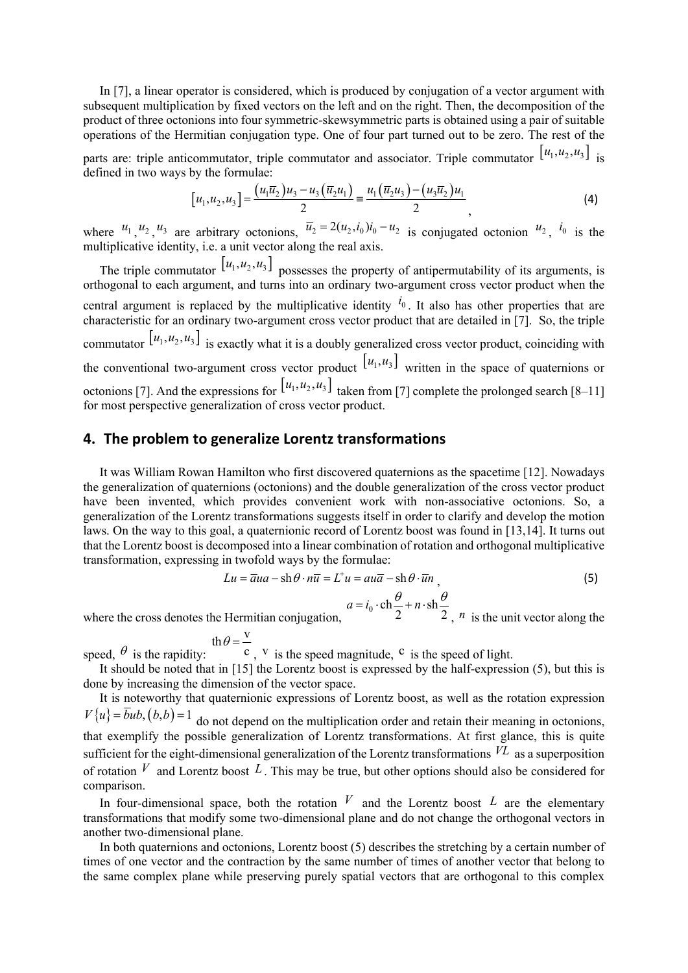In [7], a linear operator is considered, which is produced by conjugation of a vector argument with subsequent multiplication by fixed vectors on the left and on the right. Then, the decomposition of the product of three octonions into four symmetric-skewsymmetric parts is obtained using a pair of suitable operations of the Hermitian conjugation type. One of four part turned out to be zero. The rest of the

parts are: triple anticommutator, triple commutator and associator. Triple commutator  $[u_1, u_2, u_3]$  is defined in two ways by the formulaе:

$$
[u_1, u_2, u_3] = \frac{(u_1 \overline{u}_2)u_3 - u_3(\overline{u}_2 u_1)}{2} = \frac{u_1(\overline{u}_2 u_3) - (u_3 \overline{u}_2)u_1}{2},
$$
\n(4)

where  $u_1, u_2, u_3$  are arbitrary octonions,  $\overline{u}_2 = 2(u_2, i_0)i_0 - u_2$  is conjugated octonion  $u_2, i_0$  is the multiplicative identity, i.e. a unit vector along the real axis.

The triple commutator  $[u_1, u_2, u_3]$  possesses the property of antipermutability of its arguments, is orthogonal to each argument, and turns into an ordinary two-argument cross vector product when the central argument is replaced by the multiplicative identity  $i_0$ . It also has other properties that are characteristic for an ordinary two-argument cross vector product that are detailed in [7]. So, the triple commutator  $[u_1, u_2, u_3]$  is exactly what it is a doubly generalized cross vector product, coinciding with the conventional two-argument cross vector product  $[u_1, u_3]$  written in the space of quaternions or octonions [7]. And the expressions for  $[u_1, u_2, u_3]$  taken from [7] complete the prolonged search [8–11] for most perspective generalization of cross vector product.

## **4. The problem to generalize Lorentz transformations**

It was William Rowan Hamilton who first discovered quaternions as the spacetime [12]. Nowadays the generalization of quaternions (octonions) and the double generalization of the cross vector product have been invented, which provides convenient work with non-associative octonions. So, a generalization of the Lorentz transformations suggests itself in order to clarify and develop the motion laws. On the way to this goal, a quaternionic record of Lorentz boost was found in [13,14]. It turns out that the Lorentz boost is decomposed into a linear combination of rotation and orthogonal multiplicative transformation, expressing in twofold ways by the formulae:

$$
Lu = \overline{a}ua - \text{sh}\,\theta \cdot n\overline{u} = L^{\dagger}u = au\overline{a} - \text{sh}\,\theta \cdot \overline{u}n\,,\tag{5}
$$

$$
a = i_0 \cdot \text{ch} \frac{\theta}{2} + n \cdot \text{sh} \frac{\theta}{2}
$$

where the cross denotes the Hermitian conjugation, 2 2 2,  $n$  is the unit vector along the

th  $\theta = \frac{v}{v}$ 

speed,  $\theta$  is the rapidity:  $\theta$ ,  $V$  is the speed magnitude,  $\theta$  is the speed of light. speed,  $\theta$  is the rapidity:  $\theta = \frac{v}{c}$  v is the speed magnitude. <sup>c</sup>

It should be noted that in [15] the Lorentz boost is expressed by the half-expression (5), but this is done by increasing the dimension of the vector space.

It is noteworthy that quaternionic expressions of Lorentz boost, as well as the rotation expression  $V\{u\} = bub$ ,  $(b,b) = 1$  do not depend on the multiplication order and retain their meaning in octonions, that exemplify the possible generalization of Lorentz transformations. At first glance, this is quite sufficient for the eight-dimensional generalization of the Lorentz transformations  $V^L$  as a superposition of rotation  $V$  and Lorentz boost L. This may be true, but other options should also be considered for

comparison. In four-dimensional space, both the rotation  $V$  and the Lorentz boost  $L$  are the elementary transformations that modify some two-dimensional plane and do not change the orthogonal vectors in another two-dimensional plane.

In both quaternions and octonions, Lorentz boost (5) describes the stretching by a certain number of times of one vector and the contraction by the same number of times of another vector that belong to the same complex plane while preserving purely spatial vectors that are orthogonal to this complex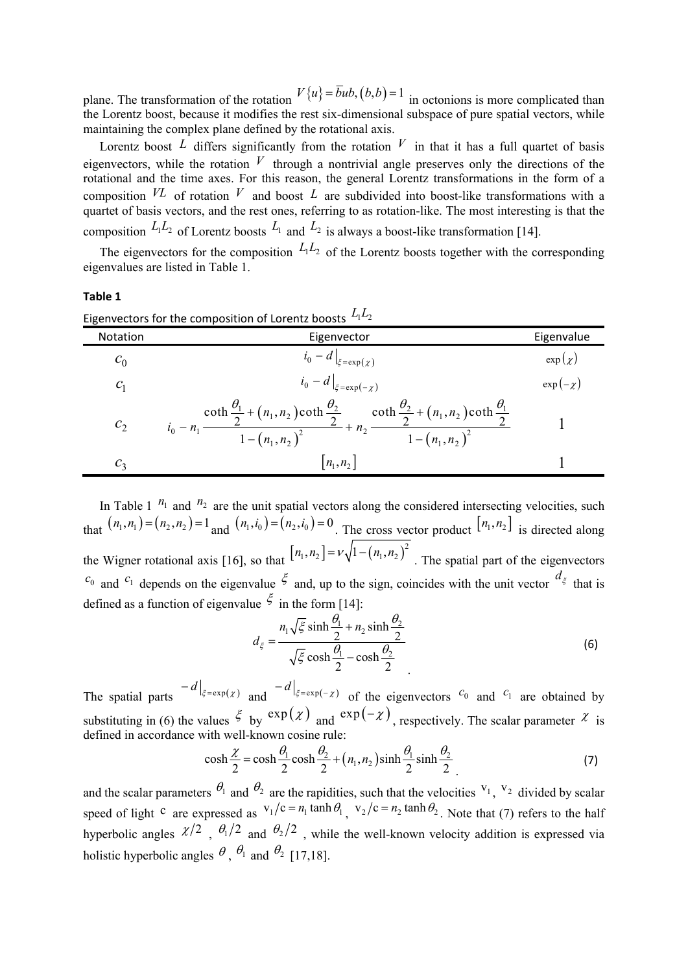plane. The transformation of the rotation  $V\{u\} = \overline{b}ub$ ,  $(b,b) = 1$  in octonions is more complicated than the Lorentz boost, because it modifies the rest six-dimensional subspace of pure spatial vectors, while maintaining the complex plane defined by the rotational axis.

Lorentz boost L differs significantly from the rotation  $V$  in that it has a full quartet of basis eigenvectors, while the rotation  $V$  through a nontrivial angle preserves only the directions of the rotational and the time axes. For this reason, the general Lorentz transformations in the form of a composition  $VL$  of rotation  $V$  and boost  $L$  are subdivided into boost-like transformations with a quartet of basis vectors, and the rest ones, referring to as rotation-like. The most interesting is that the composition  $L_1 L_2$  of Lorentz boosts  $L_1$  and  $L_2$  is always a boost-like transformation [14].

The eigenvectors for the composition  $L_1 L_2$  of the Lorentz boosts together with the corresponding eigenvalues are listed in Table 1.

#### **Table 1**

|                            | Eigenvectors for the composition of Lorentz boosts $\Box^{-2}$                                                                                                                                                                                                                                  |               |
|----------------------------|-------------------------------------------------------------------------------------------------------------------------------------------------------------------------------------------------------------------------------------------------------------------------------------------------|---------------|
| Notation                   | Eigenvector                                                                                                                                                                                                                                                                                     | Eigenvalue    |
| c <sub>0</sub>             | $\left i_0 - d\right _{\xi = \exp(\chi)}$                                                                                                                                                                                                                                                       | $\exp(\chi)$  |
| $C_1$                      | $\left. i_0 - d \right _{\xi = \exp(-\chi)}$                                                                                                                                                                                                                                                    | $\exp(-\chi)$ |
|                            | $\frac{\coth \frac{\theta_1}{2} + (n_1, n_2) \coth \frac{\theta_2}{2}}{\frac{1}{2} + (n_2 + n_2)} + n_2 \frac{\coth \frac{\theta_2}{2} + (n_1, n_2) \coth \frac{\theta_1}{2}}{\frac{1}{2} + (n_2 - n_2)^2}$<br>$i_0 - n_1$ —<br>$\frac{1-(n_1,n_2)^2}{\sqrt{1-(n_1,n_2)^2}}$<br>$1-(n_1,n_2)^2$ |               |
| $c_{\scriptscriptstyle 2}$ | $ n_1, n_2 $                                                                                                                                                                                                                                                                                    |               |

Eigenvectors for the composition of Lorentz boosts  $L L$ 

In Table 1  $n_1$  and  $n_2$  are the unit spatial vectors along the considered intersecting velocities, such that  $(n_1, n_1) = (n_2, n_2) = 1$  and  $(n_1, i_0) = (n_2, i_0) = 0$ . The cross vector product  $[n_1, n_2]$  is directed along the Wigner rotational axis [16], so that  $\left[ n_1, n_2 \right] = v \sqrt{1 - (n_1, n_2)^2}$ . The spatial part of the eigenvectors  $c_0$  and  $c_1$  depends on the eigenvalue  $\zeta$  and, up to the sign, coincides with the unit vector  $d_{\zeta}$  that is defined as a function of eigenvalue  $\zeta$  in the form [14]:

$$
d_{\xi} = \frac{n_1 \sqrt{\xi} \sinh \frac{\theta_1}{2} + n_2 \sinh \frac{\theta_2}{2}}{\sqrt{\xi} \cosh \frac{\theta_1}{2} - \cosh \frac{\theta_2}{2}}
$$
(6)

The spatial parts  $\begin{vmatrix} -d \end{vmatrix}_{\xi = \exp(x)}$  and  $\begin{vmatrix} -d \end{vmatrix}_{\xi = \exp(-x)}$  of the eigenvectors  $\begin{vmatrix} c_0 \end{vmatrix}$  and  $\begin{vmatrix} c_1 \end{vmatrix}$  are obtained by substituting in (6) the values  $\xi$  by  $\exp(x)$  and  $\exp(-x)$ , respectively. The scalar parameter X is defined in accordance with well-known cosine rule:

$$
\cosh\frac{\chi}{2} = \cosh\frac{\theta_1}{2}\cosh\frac{\theta_2}{2} + (n_1, n_2)\sinh\frac{\theta_1}{2}\sinh\frac{\theta_2}{2}
$$
 (7)

and the scalar parameters  $\theta_1$  and  $\theta_2$  are the rapidities, such that the velocities  $v_1$ ,  $v_2$  divided by scalar speed of light c are expressed as  $v_1/c = n_1 \tanh \theta_1$ ,  $v_2/c = n_2 \tanh \theta_2$ . Note that (7) refers to the half hyperbolic angles  $\frac{\chi}{2}$ ,  $\frac{\theta_1}{2}$  and  $\frac{\theta_2}{2}$ , while the well-known velocity addition is expressed via holistic hyperbolic angles  $\theta$ ,  $\theta_1$  and  $\theta_2$  [17,18].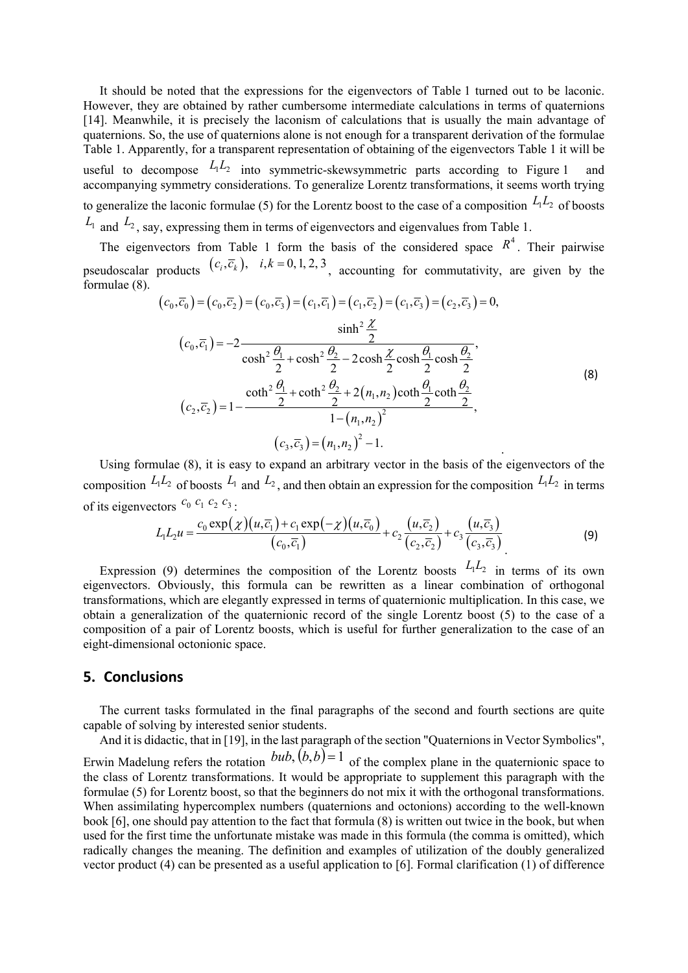It should be noted that the expressions for the eigenvectors of Table 1 turned out to be laconic. However, they are obtained by rather cumbersome intermediate calculations in terms of quaternions [14]. Meanwhile, it is precisely the laconism of calculations that is usually the main advantage of quaternions. So, the use of quaternions alone is not enough for a transparent derivation of the formulae Table 1. Apparently, for a transparent representation of obtaining of the eigenvectors Table 1 it will be useful to decompose  $L_1L_2$  into symmetric-skewsymmetric parts according to Figure 1 and accompanying symmetry considerations. To generalize Lorentz transformations, it seems worth trying to generalize the laconic formulae (5) for the Lorentz boost to the case of a composition  $L_1L_2$  of boosts  $L_1$  and  $L_2$ , say, expressing them in terms of eigenvectors and eigenvalues from Table 1.

The eigenvectors from Table 1 form the basis of the considered space  $R^4$ . Their pairwise pseudoscalar products  $(c_i, \overline{c_k})$ ,  $i, k = 0, 1, 2, 3$ , accounting for commutativity, are given by the formulae (8).

$$
(c_0, \overline{c}_0) = (c_0, \overline{c}_2) = (c_0, \overline{c}_3) = (c_1, \overline{c}_1) = (c_1, \overline{c}_2) = (c_1, \overline{c}_3) = (c_2, \overline{c}_3) = 0,
$$
  
\n
$$
\sinh^2 \frac{\chi}{2}
$$
  
\n
$$
(c_0, \overline{c}_1) = -2 \frac{\sinh^2 \frac{\chi}{2}}{\cosh^2 \frac{\theta_1}{2} + \cosh^2 \frac{\theta_2}{2} - 2 \cosh \frac{\chi}{2} \cosh \frac{\theta_1}{2} \cosh \frac{\theta_2}{2}},
$$
  
\n
$$
(c_2, \overline{c}_2) = 1 - \frac{\coth^2 \frac{\theta_1}{2} + \coth^2 \frac{\theta_2}{2} + 2(n_1, n_2) \coth \frac{\theta_1}{2} \coth \frac{\theta_2}{2}}{1 - (n_1, n_2)^2},
$$
  
\n
$$
(c_3, \overline{c}_3) = (n_1, n_2)^2 - 1.
$$

Using formulae (8), it is easy to expand an arbitrary vector in the basis of the eigenvectors of the composition  $L_1L_2$  of boosts  $L_1$  and  $L_2$ , and then obtain an expression for the composition  $L_1L_2$  in terms of its eigenvectors  $c_0$   $c_1$   $c_2$   $c_3$ .

$$
L_1 L_2 u = \frac{c_0 \exp(\chi)(u, \overline{c}_1) + c_1 \exp(-\chi)(u, \overline{c}_0)}{(c_0, \overline{c}_1)} + c_2 \frac{(u, \overline{c}_2)}{(c_2, \overline{c}_2)} + c_3 \frac{(u, \overline{c}_3)}{(c_3, \overline{c}_3)}
$$
(9)

Expression (9) determines the composition of the Lorentz boosts  $L_1L_2$  in terms of its own eigenvectors. Obviously, this formula can be rewritten as a linear combination of orthogonal transformations, which are elegantly expressed in terms of quaternionic multiplication. In this case, we obtain a generalization of the quaternionic record of the single Lorentz boost (5) to the case of a composition of a pair of Lorentz boosts, which is useful for further generalization to the case of an eight-dimensional octonionic space.

# **5. Conclusions**

The current tasks formulated in the final paragraphs of the second and fourth sections are quite capable of solving by interested senior students.

And it is didactic, that in [19], in the last paragraph of the section "Quaternions in Vector Symbolics", Erwin Madelung refers the rotation  $bub$ ,  $(b,b)=1$  of the complex plane in the quaternionic space to the class of Lorentz transformations. It would be appropriate to supplement this paragraph with the formulae (5) for Lorentz boost, so that the beginners do not mix it with the orthogonal transformations. When assimilating hypercomplex numbers (quaternions and octonions) according to the well-known book [6], one should pay attention to the fact that formula (8) is written out twice in the book, but when used for the first time the unfortunate mistake was made in this formula (the comma is omitted), which radically changes the meaning. The definition and examples of utilization of the doubly generalized vector product (4) can be presented as a useful application to [6]. Formal clarification (1) of difference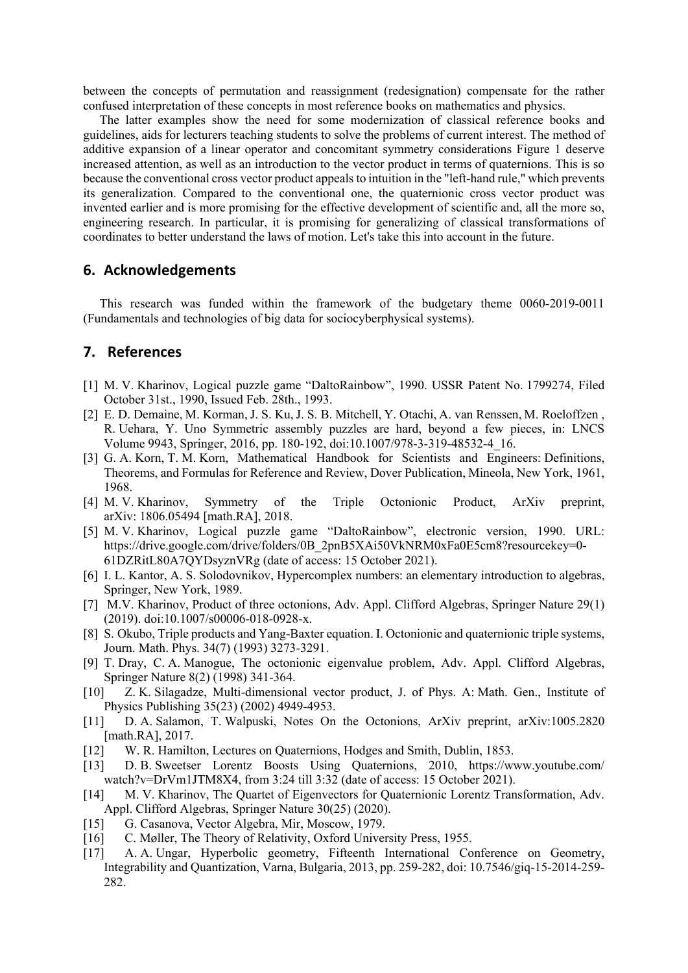between the concepts of permutation and reassignment (redesignation) compensate for the rather confused interpretation of these concepts in most reference books on mathematics and physics.

The latter examples show the need for some modernization of classical reference books and guidelines, aids for lecturers teaching students to solve the problems of current interest. The method of additive expansion of а linear operator and concomitant symmetry considerations Figure 1 deserve increased attention, as well as an introduction to the vector product in terms of quaternions. This is so because the conventional cross vector product appeals to intuition in the "left-hand rule," which prevents its generalization. Compared to the conventional one, the quaternionic cross vector product was invented earlier and is more promising for the effective development of scientific and, all the more sо, engineering research. In particular, it is promising for generalizing of classical transformations of coordinates to better understand the laws of motion. Let's take this into account in the future.

#### **6. Acknowledgements**

This research was funded within the framework of the budgetary theme 0060-2019-0011 (Fundamentals and technologies of big data for sociocyberphysical systems).

## **7. References**

- [1] M. V. Kharinov, Logical puzzle game "DaltoRainbow", 1990. USSR Patent No. 1799274, Filed October 31st., 1990, Issued Feb. 28th., 1993.
- [2] E. D. Demaine, M. Korman, J. S. Ku, J. S. B. Mitchell, Y. Otachi, A. van Renssen, M. Roeloffzen , R. Uehara, Y. Uno Symmetric assembly puzzles are hard, beyond a few pieces, in: LNCS Volume 9943, Springer, 2016, pp. 180-192, doi:10.1007/978-3-319-48532-4\_16.
- [3] G. A. Korn, T. M. Korn, Mathematical Handbook for Scientists and Engineers: Definitions, Theorems, and Formulas for Reference and Review, Dover Publication, Mineola, New York, 1961, 1968.
- [4] M. V. Kharinov, Symmetry of the Triple Octonionic Product, ArXiv preprint, arXiv: 1806.05494 [math.RA], 2018.
- [5] M. V. Kharinov, Logical puzzle game "DaltoRainbow", electronic version, 1990. URL: https://drive.google.com/drive/folders/0B\_2pnB5XAi50VkNRM0xFa0E5cm8?resourcekey=0-61DZRitL80A7QYDsyznVRg (date of access: 15 October 2021).
- [6] I. L. Kantor, A. S. Solodovnikov, Hypercomplex numbers: an elementary introduction to algebras, Springer, New York, 1989.
- [7] M.V. Kharinov, Product of three octonions, Adv. Appl. Clifford Algebras, Springer Nature 29(1) (2019). doi:10.1007/s00006-018-0928-x.
- [8] S. Okubo, Triple products and Yang-Baxter equation. I. Octonionic and quaternionic triple systems, Journ. Math. Phys. 34(7) (1993) 3273-3291.
- [9] T. Dray, C. A. Manogue, The octonionic eigenvalue problem, Adv. Appl. Clifford Algebras, Springer Nature 8(2) (1998) 341-364.
- [10] Z. K. Silagadze, Multi-dimensional vector product, J. of Phys. A: Math. Gen., Institute of Physics Publishing 35(23) (2002) 4949-4953.
- [11] D. A. Salamon, T. Walpuski, Notes On the Octonions, ArXiv preprint, arXiv:1005.2820 [math.RA], 2017.
- [12] W. R. Hamilton, Lectures on Quaternions, Hodges and Smith, Dublin, 1853.
- [13] D. B. Sweetser Lorentz Boosts Using Quaternions, 2010, https://www.youtube.com/ watch?v=DrVm1JTM8X4, from 3:24 till 3:32 (date of access: 15 October 2021).
- [14] M. V. Kharinov, The Quartet of Eigenvectors for Quaternionic Lorentz Transformation, Adv. Appl. Clifford Algebras, Springer Nature 30(25) (2020).
- [15] G. Casanova, Vector Algebra, Mir, Moscow, 1979.
- [16] C. Møller, The Theory of Relativity, Oxford University Press, 1955.
- [17] A. A. Ungar, Hyperbolic geometry, Fifteenth International Conference on Geometry, Integrability and Quantization, Varna, Bulgaria, 2013, pp. 259-282, doi: 10.7546/giq-15-2014-259- 282.